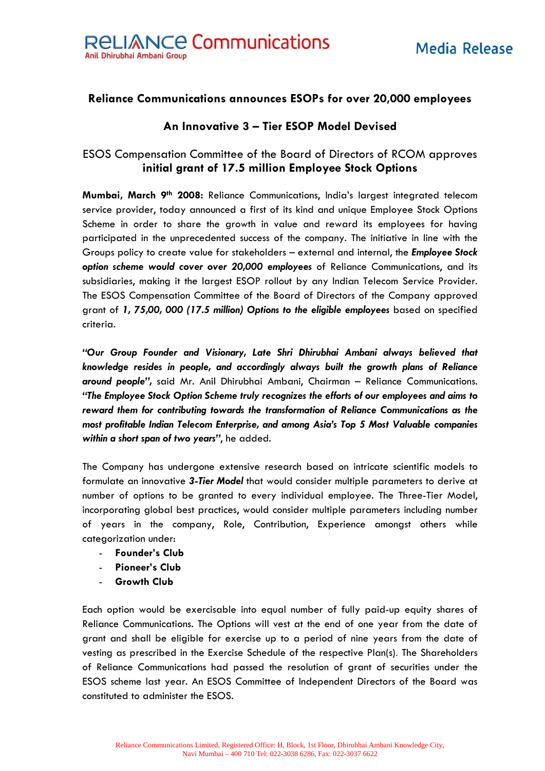## **Reliance Communications announces ESOPs for over 20,000 employees**

## **An Innovative 3 – Tier ESOP Model Devised**

## ESOS Compensation Committee of the Board of Directors of RCOM approves **initial grant of 17.5 million Employee Stock Options**

**Mumbai, March 9th 2008:** Reliance Communications, India's largest integrated telecom service provider, today announced a first of its kind and unique Employee Stock Options Scheme in order to share the growth in value and reward its employees for having participated in the unprecedented success of the company. The initiative in line with the Groups policy to create value for stakeholders – external and internal, the *Employee Stock option scheme would cover over 20,000 employees* of Reliance Communications, and its subsidiaries, making it the largest ESOP rollout by any Indian Telecom Service Provider. The ESOS Compensation Committee of the Board of Directors of the Company approved grant of *1, 75,00, 000 (17.5 million) Options to the eligible employees* based on specified criteria.

*"Our Group Founder and Visionary, Late Shri Dhirubhai Ambani always believed that knowledge resides in people, and accordingly always built the growth plans of Reliance around people",* said Mr. Anil Dhirubhai Ambani, Chairman – Reliance Communications. *"The Employee Stock Option Scheme truly recognizes the efforts of our employees and aims to reward them for contributing towards the transformation of Reliance Communications as the most profitable Indian Telecom Enterprise, and among Asia's Top 5 Most Valuable companies within a short span of two years"*, he added.

The Company has undergone extensive research based on intricate scientific models to formulate an innovative *3-Tier Model* that would consider multiple parameters to derive at number of options to be granted to every individual employee. The Three-Tier Model, incorporating global best practices, would consider multiple parameters including number of years in the company, Role, Contribution, Experience amongst others while categorization under:

- **Founder's Club**
- **Pioneer's Club**
- **Growth Club**

Each option would be exercisable into equal number of fully paid-up equity shares of Reliance Communications. The Options will vest at the end of one year from the date of grant and shall be eligible for exercise up to a period of nine years from the date of vesting as prescribed in the Exercise Schedule of the respective Plan(s). The Shareholders of Reliance Communications had passed the resolution of grant of securities under the ESOS scheme last year. An ESOS Committee of Independent Directors of the Board was constituted to administer the ESOS.